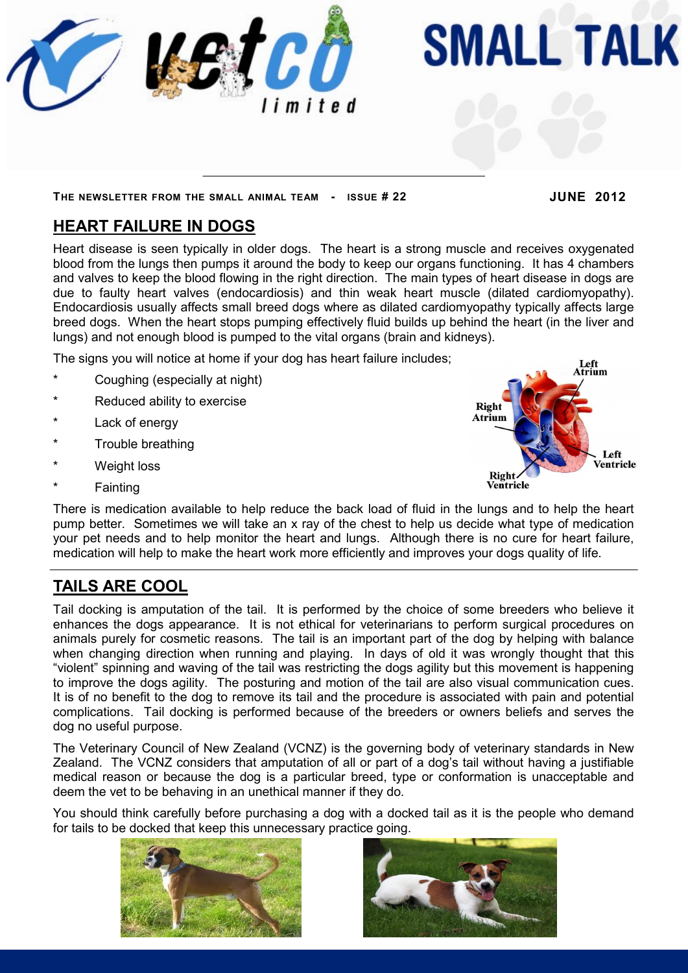

# **SMALL TALK**

#### **THE NEWSLETTER FROM THE SMALL ANIMAL TEAM - ISSUE # 22 JUNE 2012**

## **HEART FAILURE IN DOGS**

Heart disease is seen typically in older dogs. The heart is a strong muscle and receives oxygenated blood from the lungs then pumps it around the body to keep our organs functioning. It has 4 chambers and valves to keep the blood flowing in the right direction. The main types of heart disease in dogs are due to faulty heart valves (endocardiosis) and thin weak heart muscle (dilated cardiomyopathy). Endocardiosis usually affects small breed dogs where as dilated cardiomyopathy typically affects large breed dogs. When the heart stops pumping effectively fluid builds up behind the heart (in the liver and lungs) and not enough blood is pumped to the vital organs (brain and kidneys).

The signs you will notice at home if your dog has heart failure includes;

- Coughing (especially at night)
- Reduced ability to exercise
- Lack of energy
- Trouble breathing
- **Weight loss**
- **Fainting**



There is medication available to help reduce the back load of fluid in the lungs and to help the heart pump better. Sometimes we will take an x ray of the chest to help us decide what type of medication your pet needs and to help monitor the heart and lungs. Although there is no cure for heart failure, medication will help to make the heart work more efficiently and improves your dogs quality of life.

# **TAILS ARE COOL**

Tail docking is amputation of the tail. It is performed by the choice of some breeders who believe it enhances the dogs appearance. It is not ethical for veterinarians to perform surgical procedures on animals purely for cosmetic reasons. The tail is an important part of the dog by helping with balance when changing direction when running and playing. In days of old it was wrongly thought that this "violent" spinning and waving of the tail was restricting the dogs agility but this movement is happening to improve the dogs agility. The posturing and motion of the tail are also visual communication cues. It is of no benefit to the dog to remove its tail and the procedure is associated with pain and potential complications. Tail docking is performed because of the breeders or owners beliefs and serves the dog no useful purpose.

The Veterinary Council of New Zealand (VCNZ) is the governing body of veterinary standards in New Zealand. The VCNZ considers that amputation of all or part of a dog's tail without having a justifiable medical reason or because the dog is a particular breed, type or conformation is unacceptable and deem the vet to be behaving in an unethical manner if they do.

You should think carefully before purchasing a dog with a docked tail as it is the people who demand for tails to be docked that keep this unnecessary practice going.